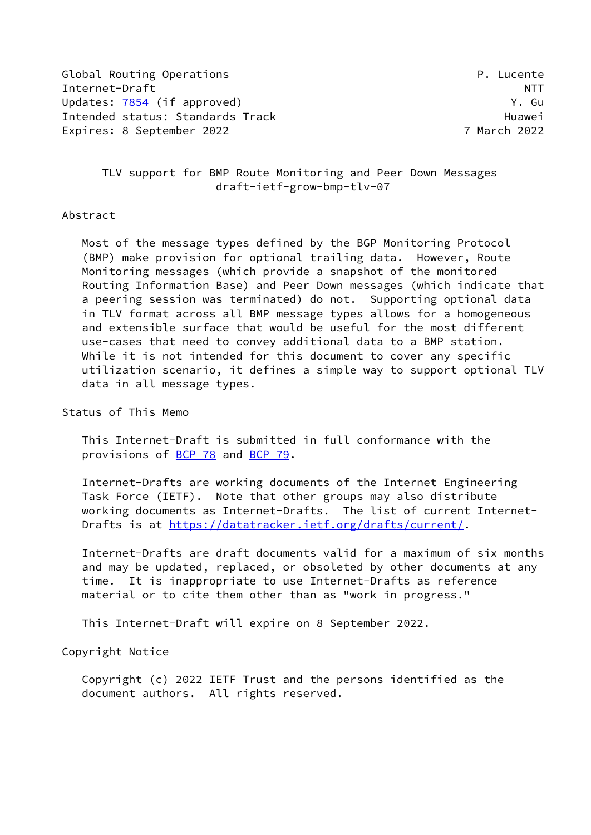Global Routing Operations **P. Lucente** Internet-Draft NTT Updates: [7854](https://datatracker.ietf.org/doc/pdf/rfc7854) (if approved) South Contract Contract Contract Contract Contract Contract Contract Contract Contract Contract Contract Contract Contract Contract Contract Contract Contract Contract Contract Contract Contract Intended status: Standards Track Track Huawei Expires: 8 September 2022 7 March 2022

 TLV support for BMP Route Monitoring and Peer Down Messages draft-ietf-grow-bmp-tlv-07

### Abstract

 Most of the message types defined by the BGP Monitoring Protocol (BMP) make provision for optional trailing data. However, Route Monitoring messages (which provide a snapshot of the monitored Routing Information Base) and Peer Down messages (which indicate that a peering session was terminated) do not. Supporting optional data in TLV format across all BMP message types allows for a homogeneous and extensible surface that would be useful for the most different use-cases that need to convey additional data to a BMP station. While it is not intended for this document to cover any specific utilization scenario, it defines a simple way to support optional TLV data in all message types.

Status of This Memo

 This Internet-Draft is submitted in full conformance with the provisions of [BCP 78](https://datatracker.ietf.org/doc/pdf/bcp78) and [BCP 79](https://datatracker.ietf.org/doc/pdf/bcp79).

 Internet-Drafts are working documents of the Internet Engineering Task Force (IETF). Note that other groups may also distribute working documents as Internet-Drafts. The list of current Internet- Drafts is at<https://datatracker.ietf.org/drafts/current/>.

 Internet-Drafts are draft documents valid for a maximum of six months and may be updated, replaced, or obsoleted by other documents at any time. It is inappropriate to use Internet-Drafts as reference material or to cite them other than as "work in progress."

This Internet-Draft will expire on 8 September 2022.

Copyright Notice

 Copyright (c) 2022 IETF Trust and the persons identified as the document authors. All rights reserved.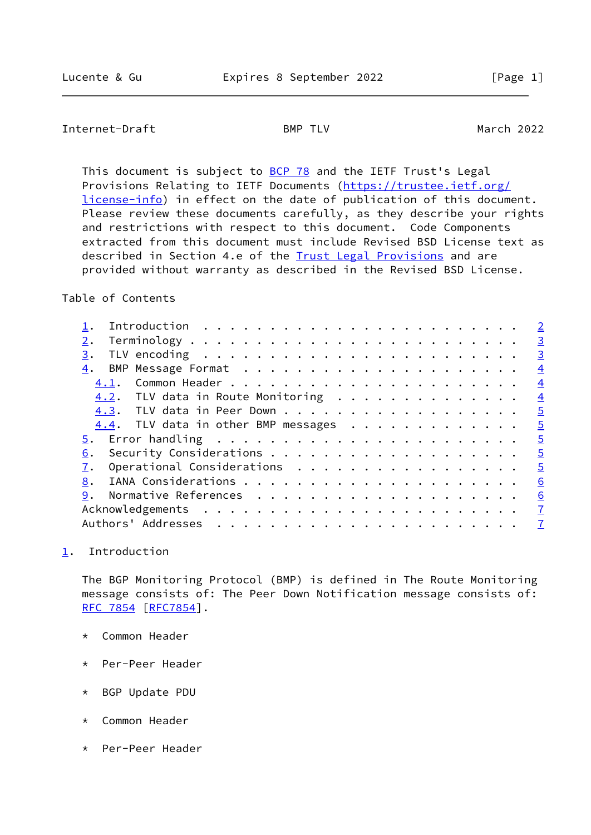# <span id="page-1-1"></span>Internet-Draft BMP TLV BMP TLV March 2022

This document is subject to [BCP 78](https://datatracker.ietf.org/doc/pdf/bcp78) and the IETF Trust's Legal Provisions Relating to IETF Documents ([https://trustee.ietf.org/](https://trustee.ietf.org/license-info) [license-info](https://trustee.ietf.org/license-info)) in effect on the date of publication of this document. Please review these documents carefully, as they describe your rights and restrictions with respect to this document. Code Components extracted from this document must include Revised BSD License text as described in Section 4.e of the **Trust Legal Provisions** and are provided without warranty as described in the Revised BSD License.

## Table of Contents

|      |                                        |  |  |  |  |  |  |  |  |  |  |  | $\overline{2}$ |
|------|----------------------------------------|--|--|--|--|--|--|--|--|--|--|--|----------------|
|      |                                        |  |  |  |  |  |  |  |  |  |  |  | $\overline{3}$ |
| 3.   |                                        |  |  |  |  |  |  |  |  |  |  |  | $\overline{3}$ |
| 4.   |                                        |  |  |  |  |  |  |  |  |  |  |  | $\overline{4}$ |
| 4.1. |                                        |  |  |  |  |  |  |  |  |  |  |  | $\overline{4}$ |
|      | $4.2$ . TLV data in Route Monitoring   |  |  |  |  |  |  |  |  |  |  |  | $\overline{4}$ |
|      | 4.3. TLV data in Peer Down             |  |  |  |  |  |  |  |  |  |  |  | $\overline{5}$ |
|      | $4.4$ . TLV data in other BMP messages |  |  |  |  |  |  |  |  |  |  |  | $\overline{5}$ |
|      |                                        |  |  |  |  |  |  |  |  |  |  |  | $\overline{5}$ |
| 6.   |                                        |  |  |  |  |  |  |  |  |  |  |  | $\overline{5}$ |
|      | Operational Considerations             |  |  |  |  |  |  |  |  |  |  |  | $\overline{5}$ |
| 8.   |                                        |  |  |  |  |  |  |  |  |  |  |  | 6              |
| 9.   |                                        |  |  |  |  |  |  |  |  |  |  |  | 6              |
|      |                                        |  |  |  |  |  |  |  |  |  |  |  | $\overline{1}$ |
|      |                                        |  |  |  |  |  |  |  |  |  |  |  | $\mathbf{Z}$   |
|      |                                        |  |  |  |  |  |  |  |  |  |  |  |                |

## <span id="page-1-0"></span>[1](#page-1-0). Introduction

 The BGP Monitoring Protocol (BMP) is defined in The Route Monitoring message consists of: The Peer Down Notification message consists of: [RFC 7854](https://datatracker.ietf.org/doc/pdf/rfc7854) [\[RFC7854](https://datatracker.ietf.org/doc/pdf/rfc7854)].

- \* Common Header
- \* Per-Peer Header
- \* BGP Update PDU
- \* Common Header
- \* Per-Peer Header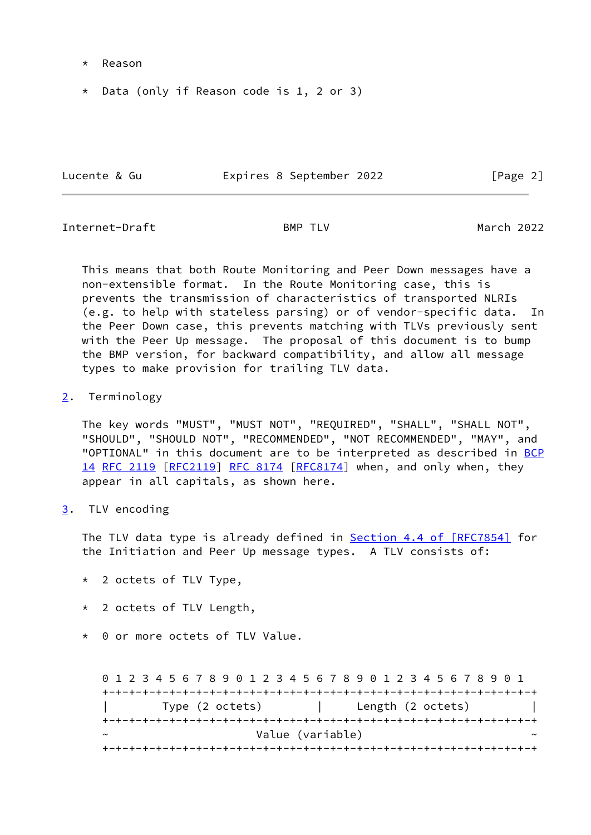- \* Reason
- \* Data (only if Reason code is 1, 2 or 3)

Lucente & Gu Fage 2 Expires 8 September 2022 [Page 2]

<span id="page-2-1"></span>Internet-Draft BMP TLV March 2022

 This means that both Route Monitoring and Peer Down messages have a non-extensible format. In the Route Monitoring case, this is prevents the transmission of characteristics of transported NLRIs (e.g. to help with stateless parsing) or of vendor-specific data. In the Peer Down case, this prevents matching with TLVs previously sent with the Peer Up message. The proposal of this document is to bump the BMP version, for backward compatibility, and allow all message types to make provision for trailing TLV data.

<span id="page-2-0"></span>[2](#page-2-0). Terminology

 The key words "MUST", "MUST NOT", "REQUIRED", "SHALL", "SHALL NOT", "SHOULD", "SHOULD NOT", "RECOMMENDED", "NOT RECOMMENDED", "MAY", and "OPTIONAL" in this document are to be interpreted as described in [BCP](https://datatracker.ietf.org/doc/pdf/bcp14) [14](https://datatracker.ietf.org/doc/pdf/bcp14) [RFC 2119 \[RFC2119](https://datatracker.ietf.org/doc/pdf/rfc2119)] [RFC 8174](https://datatracker.ietf.org/doc/pdf/rfc8174) [\[RFC8174](https://datatracker.ietf.org/doc/pdf/rfc8174)] when, and only when, they appear in all capitals, as shown here.

<span id="page-2-2"></span>[3](#page-2-2). TLV encoding

The TLV data type is already defined in Section [4.4 of \[RFC7854\]](https://datatracker.ietf.org/doc/pdf/rfc7854#section-4.4) for the Initiation and Peer Up message types. A TLV consists of:

- \* 2 octets of TLV Type,
- \* 2 octets of TLV Length,
- \* 0 or more octets of TLV Value.

 0 1 2 3 4 5 6 7 8 9 0 1 2 3 4 5 6 7 8 9 0 1 2 3 4 5 6 7 8 9 0 1 +-+-+-+-+-+-+-+-+-+-+-+-+-+-+-+-+-+-+-+-+-+-+-+-+-+-+-+-+-+-+-+-+ | Type (2 octets) | Length (2 octets) | +-+-+-+-+-+-+-+-+-+-+-+-+-+-+-+-+-+-+-+-+-+-+-+-+-+-+-+-+-+-+-+-+ Value (variable) +-+-+-+-+-+-+-+-+-+-+-+-+-+-+-+-+-+-+-+-+-+-+-+-+-+-+-+-+-+-+-+-+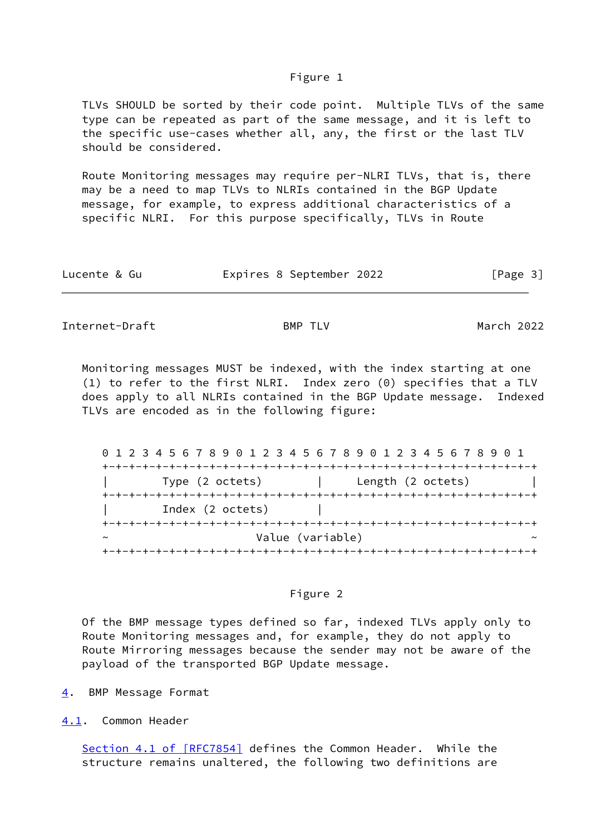#### Figure 1

 TLVs SHOULD be sorted by their code point. Multiple TLVs of the same type can be repeated as part of the same message, and it is left to the specific use-cases whether all, any, the first or the last TLV should be considered.

 Route Monitoring messages may require per-NLRI TLVs, that is, there may be a need to map TLVs to NLRIs contained in the BGP Update message, for example, to express additional characteristics of a specific NLRI. For this purpose specifically, TLVs in Route

| Lucente & Gu | Expires 8 September 2022 |  | [Page 3] |
|--------------|--------------------------|--|----------|
|--------------|--------------------------|--|----------|

<span id="page-3-1"></span>Internet-Draft BMP TLV BMP TLV March 2022

 Monitoring messages MUST be indexed, with the index starting at one (1) to refer to the first NLRI. Index zero (0) specifies that a TLV does apply to all NLRIs contained in the BGP Update message. Indexed TLVs are encoded as in the following figure:

 0 1 2 3 4 5 6 7 8 9 0 1 2 3 4 5 6 7 8 9 0 1 2 3 4 5 6 7 8 9 0 1 +-+-+-+-+-+-+-+-+-+-+-+-+-+-+-+-+-+-+-+-+-+-+-+-+-+-+-+-+-+-+-+-+ | Type (2 octets) | Length (2 octets) | +-+-+-+-+-+-+-+-+-+-+-+-+-+-+-+-+-+-+-+-+-+-+-+-+-+-+-+-+-+-+-+-+ Index (2 octets) +-+-+-+-+-+-+-+-+-+-+-+-+-+-+-+-+-+-+-+-+-+-+-+-+-+-+-+-+-+-+-+-+ Value (variable) +-+-+-+-+-+-+-+-+-+-+-+-+-+-+-+-+-+-+-+-+-+-+-+-+-+-+-+-+-+-+-+-+

## Figure 2

 Of the BMP message types defined so far, indexed TLVs apply only to Route Monitoring messages and, for example, they do not apply to Route Mirroring messages because the sender may not be aware of the payload of the transported BGP Update message.

<span id="page-3-0"></span>[4](#page-3-0). BMP Message Format

<span id="page-3-2"></span>[4.1](#page-3-2). Common Header

 Section [4.1 of \[RFC7854\]](https://datatracker.ietf.org/doc/pdf/rfc7854#section-4.1) defines the Common Header. While the structure remains unaltered, the following two definitions are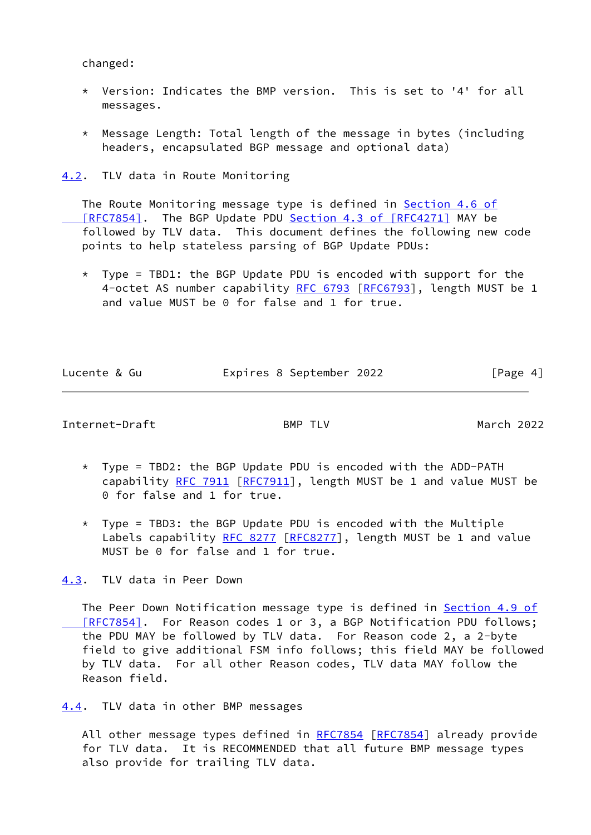changed:

- \* Version: Indicates the BMP version. This is set to '4' for all messages.
- \* Message Length: Total length of the message in bytes (including headers, encapsulated BGP message and optional data)

<span id="page-4-0"></span>[4.2](#page-4-0). TLV data in Route Monitoring

The Route Monitoring message type is defined in [Section](https://datatracker.ietf.org/doc/pdf/rfc7854#section-4.6) 4.6 of [RFC7854]. The BGP Update PDU Section [4.3 of \[RFC4271\]](https://datatracker.ietf.org/doc/pdf/rfc4271#section-4.3) MAY be followed by TLV data. This document defines the following new code points to help stateless parsing of BGP Update PDUs:

 $*$  Type = TBD1: the BGP Update PDU is encoded with support for the 4-octet AS number capability [RFC 6793](https://datatracker.ietf.org/doc/pdf/rfc6793) [\[RFC6793](https://datatracker.ietf.org/doc/pdf/rfc6793)], length MUST be 1 and value MUST be 0 for false and 1 for true.

| Lucente & Gu | Expires 8 September 2022 | [Page 4] |
|--------------|--------------------------|----------|

<span id="page-4-2"></span>Internet-Draft BMP TLV March 2022

- \* Type = TBD2: the BGP Update PDU is encoded with the ADD-PATH capability [RFC 7911](https://datatracker.ietf.org/doc/pdf/rfc7911) [\[RFC7911](https://datatracker.ietf.org/doc/pdf/rfc7911)], length MUST be 1 and value MUST be 0 for false and 1 for true.
- \* Type = TBD3: the BGP Update PDU is encoded with the Multiple Labels capability [RFC 8277](https://datatracker.ietf.org/doc/pdf/rfc8277) [[RFC8277](https://datatracker.ietf.org/doc/pdf/rfc8277)], length MUST be 1 and value MUST be 0 for false and 1 for true.

<span id="page-4-1"></span>[4.3](#page-4-1). TLV data in Peer Down

The Peer Down Notification message type is defined in [Section](https://datatracker.ietf.org/doc/pdf/rfc7854#section-4.9) 4.9 of [RFC7854]. For Reason codes 1 or 3, a BGP Notification PDU follows; the PDU MAY be followed by TLV data. For Reason code 2, a 2-byte field to give additional FSM info follows; this field MAY be followed by TLV data. For all other Reason codes, TLV data MAY follow the Reason field.

<span id="page-4-3"></span>[4.4](#page-4-3). TLV data in other BMP messages

All other message types defined in [RFC7854](https://datatracker.ietf.org/doc/pdf/rfc7854) [[RFC7854\]](https://datatracker.ietf.org/doc/pdf/rfc7854) already provide for TLV data. It is RECOMMENDED that all future BMP message types also provide for trailing TLV data.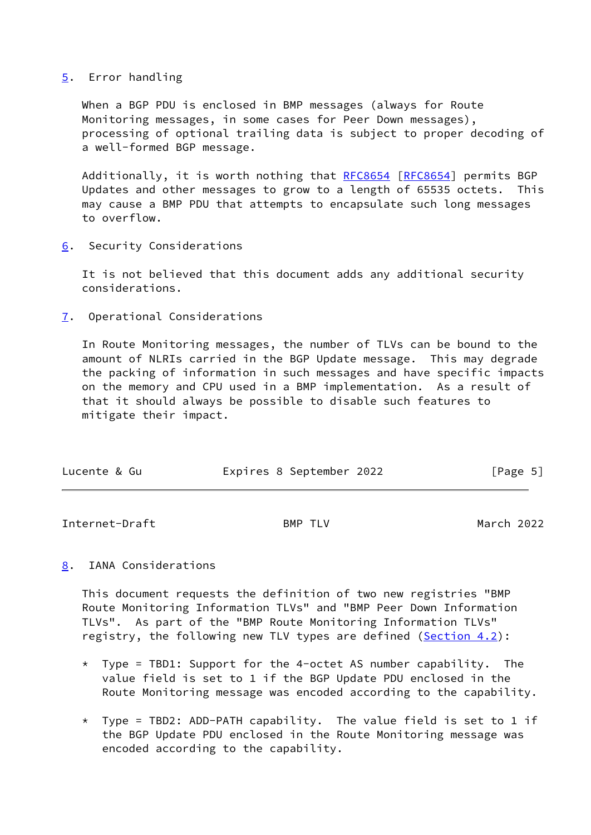### <span id="page-5-0"></span>[5](#page-5-0). Error handling

 When a BGP PDU is enclosed in BMP messages (always for Route Monitoring messages, in some cases for Peer Down messages), processing of optional trailing data is subject to proper decoding of a well-formed BGP message.

Additionally, it is worth nothing that [RFC8654](https://datatracker.ietf.org/doc/pdf/rfc8654) [\[RFC8654](https://datatracker.ietf.org/doc/pdf/rfc8654)] permits BGP Updates and other messages to grow to a length of 65535 octets. This may cause a BMP PDU that attempts to encapsulate such long messages to overflow.

<span id="page-5-1"></span>[6](#page-5-1). Security Considerations

 It is not believed that this document adds any additional security considerations.

<span id="page-5-2"></span>[7](#page-5-2). Operational Considerations

 In Route Monitoring messages, the number of TLVs can be bound to the amount of NLRIs carried in the BGP Update message. This may degrade the packing of information in such messages and have specific impacts on the memory and CPU used in a BMP implementation. As a result of that it should always be possible to disable such features to mitigate their impact.

| Lucente & Gu | Expires 8 September 2022 | [Page 5] |
|--------------|--------------------------|----------|
|              |                          |          |

<span id="page-5-4"></span>Internet-Draft BMP TLV March 2022

<span id="page-5-3"></span>[8](#page-5-3). IANA Considerations

 This document requests the definition of two new registries "BMP Route Monitoring Information TLVs" and "BMP Peer Down Information TLVs". As part of the "BMP Route Monitoring Information TLVs" registry, the following new TLV types are defined ([Section 4.2](#page-4-0)):

- $*$  Type = TBD1: Support for the 4-octet AS number capability. The value field is set to 1 if the BGP Update PDU enclosed in the Route Monitoring message was encoded according to the capability.
- \* Type = TBD2: ADD-PATH capability. The value field is set to 1 if the BGP Update PDU enclosed in the Route Monitoring message was encoded according to the capability.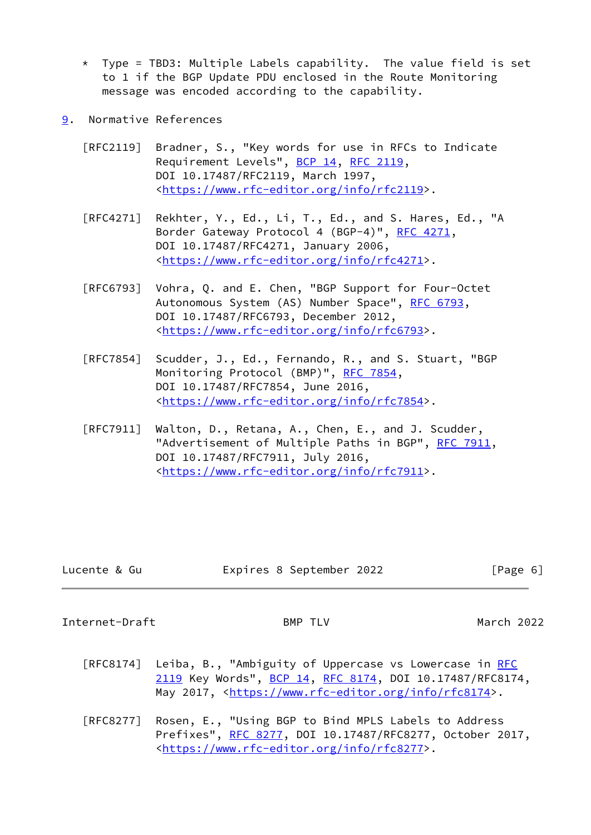- $*$  Type = TBD3: Multiple Labels capability. The value field is set to 1 if the BGP Update PDU enclosed in the Route Monitoring message was encoded according to the capability.
- <span id="page-6-0"></span>[9](#page-6-0). Normative References
	- [RFC2119] Bradner, S., "Key words for use in RFCs to Indicate Requirement Levels", [BCP 14](https://datatracker.ietf.org/doc/pdf/bcp14), [RFC 2119](https://datatracker.ietf.org/doc/pdf/rfc2119), DOI 10.17487/RFC2119, March 1997, <[https://www.rfc-editor.org/info/rfc2119>](https://www.rfc-editor.org/info/rfc2119).
	- [RFC4271] Rekhter, Y., Ed., Li, T., Ed., and S. Hares, Ed., "A Border Gateway Protocol 4 (BGP-4)", [RFC 4271,](https://datatracker.ietf.org/doc/pdf/rfc4271) DOI 10.17487/RFC4271, January 2006, <[https://www.rfc-editor.org/info/rfc4271>](https://www.rfc-editor.org/info/rfc4271).
	- [RFC6793] Vohra, Q. and E. Chen, "BGP Support for Four-Octet Autonomous System (AS) Number Space", [RFC 6793](https://datatracker.ietf.org/doc/pdf/rfc6793), DOI 10.17487/RFC6793, December 2012, <[https://www.rfc-editor.org/info/rfc6793>](https://www.rfc-editor.org/info/rfc6793).
	- [RFC7854] Scudder, J., Ed., Fernando, R., and S. Stuart, "BGP Monitoring Protocol (BMP)", [RFC 7854,](https://datatracker.ietf.org/doc/pdf/rfc7854) DOI 10.17487/RFC7854, June 2016, <[https://www.rfc-editor.org/info/rfc7854>](https://www.rfc-editor.org/info/rfc7854).
	- [RFC7911] Walton, D., Retana, A., Chen, E., and J. Scudder, "Advertisement of Multiple Paths in BGP", [RFC 7911](https://datatracker.ietf.org/doc/pdf/rfc7911), DOI 10.17487/RFC7911, July 2016, <[https://www.rfc-editor.org/info/rfc7911>](https://www.rfc-editor.org/info/rfc7911).

- Lucente & Gu Expires 8 September 2022 [Page 6]
	-

<span id="page-6-1"></span>Internet-Draft BMP TLV March 2022

- [RFC8174] Leiba, B., "Ambiguity of Uppercase vs Lowercase in [RFC](https://datatracker.ietf.org/doc/pdf/rfc2119) [2119](https://datatracker.ietf.org/doc/pdf/rfc2119) Key Words", [BCP 14](https://datatracker.ietf.org/doc/pdf/bcp14), [RFC 8174,](https://datatracker.ietf.org/doc/pdf/rfc8174) DOI 10.17487/RFC8174, May 2017, [<https://www.rfc-editor.org/info/rfc8174](https://www.rfc-editor.org/info/rfc8174)>.
- [RFC8277] Rosen, E., "Using BGP to Bind MPLS Labels to Address Prefixes", [RFC 8277](https://datatracker.ietf.org/doc/pdf/rfc8277), DOI 10.17487/RFC8277, October 2017, <[https://www.rfc-editor.org/info/rfc8277>](https://www.rfc-editor.org/info/rfc8277).